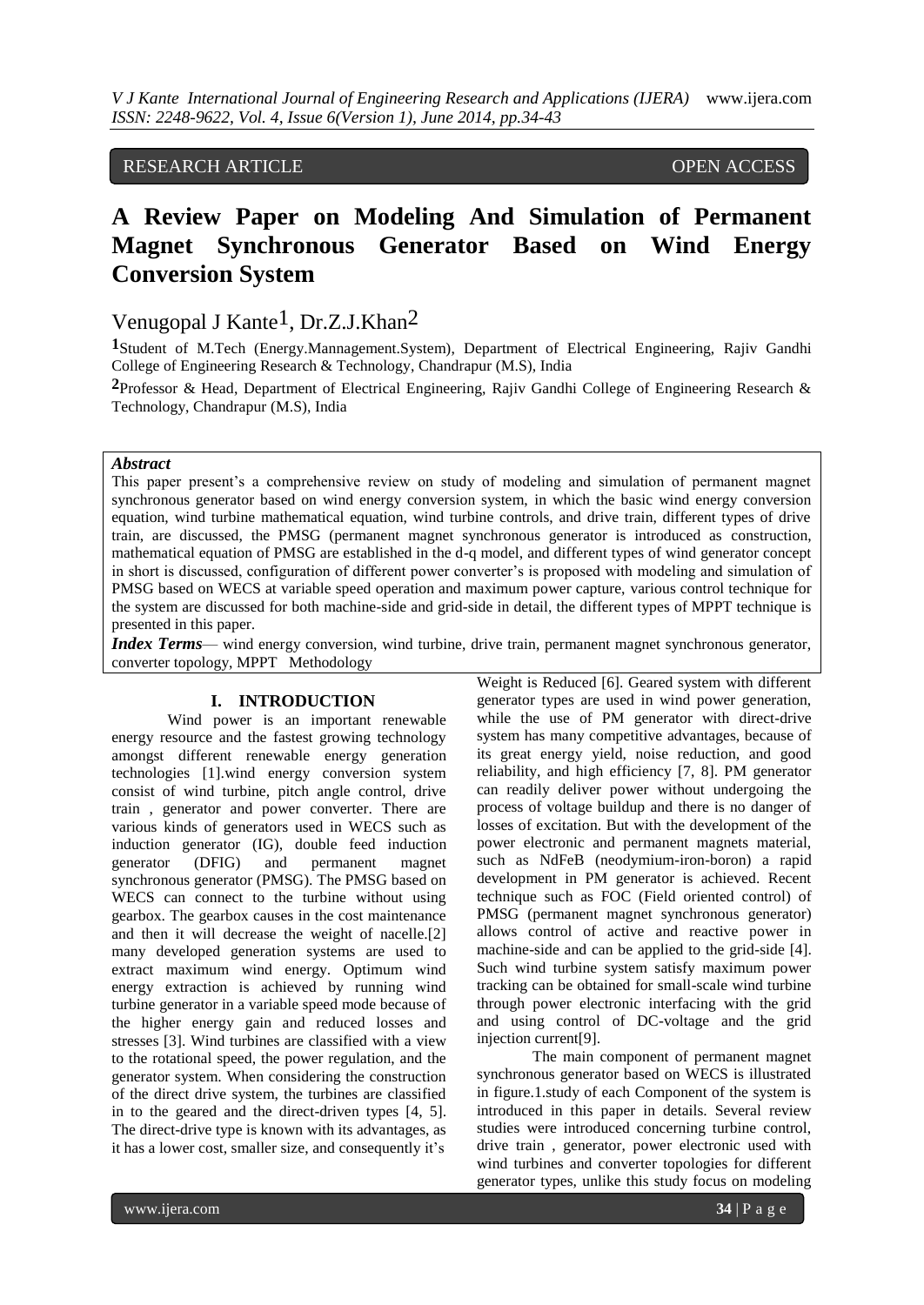# RESEARCH ARTICLE OPEN ACCESS

# **A Review Paper on Modeling And Simulation of Permanent Magnet Synchronous Generator Based on Wind Energy Conversion System**

# Venugopal J Kante<sup>1</sup>, Dr.Z.J.Khan<sup>2</sup>

**1**Student of M.Tech (Energy.Mannagement.System), Department of Electrical Engineering, Rajiv Gandhi College of Engineering Research & Technology, Chandrapur (M.S), India

**2**Professor & Head, Department of Electrical Engineering, Rajiv Gandhi College of Engineering Research & Technology, Chandrapur (M.S), India

# *Abstract*

This paper present's a comprehensive review on study of modeling and simulation of permanent magnet synchronous generator based on wind energy conversion system, in which the basic wind energy conversion equation, wind turbine mathematical equation, wind turbine controls, and drive train, different types of drive train, are discussed, the PMSG (permanent magnet synchronous generator is introduced as construction, mathematical equation of PMSG are established in the d-q model, and different types of wind generator concept in short is discussed, configuration of different power converter's is proposed with modeling and simulation of PMSG based on WECS at variable speed operation and maximum power capture, various control technique for the system are discussed for both machine-side and grid-side in detail, the different types of MPPT technique is presented in this paper.

*Index Terms*— wind energy conversion, wind turbine, drive train, permanent magnet synchronous generator, converter topology, MPPT Methodology

# **I. INTRODUCTION**

Wind power is an important renewable energy resource and the fastest growing technology amongst different renewable energy generation technologies [1].wind energy conversion system consist of wind turbine, pitch angle control, drive train , generator and power converter. There are various kinds of generators used in WECS such as induction generator (IG), double feed induction generator (DFIG) and permanent magnet synchronous generator (PMSG). The PMSG based on WECS can connect to the turbine without using gearbox. The gearbox causes in the cost maintenance and then it will decrease the weight of nacelle.[2] many developed generation systems are used to extract maximum wind energy. Optimum wind energy extraction is achieved by running wind turbine generator in a variable speed mode because of the higher energy gain and reduced losses and stresses [3]. Wind turbines are classified with a view to the rotational speed, the power regulation, and the generator system. When considering the construction of the direct drive system, the turbines are classified in to the geared and the direct-driven types [4, 5]. The direct-drive type is known with its advantages, as it has a lower cost, smaller size, and consequently it's

Weight is Reduced [6]. Geared system with different generator types are used in wind power generation, while the use of PM generator with direct-drive system has many competitive advantages, because of its great energy yield, noise reduction, and good reliability, and high efficiency [7, 8]. PM generator can readily deliver power without undergoing the process of voltage buildup and there is no danger of losses of excitation. But with the development of the power electronic and permanent magnets material, such as NdFeB (neodymium-iron-boron) a rapid development in PM generator is achieved. Recent technique such as FOC (Field oriented control) of PMSG (permanent magnet synchronous generator) allows control of active and reactive power in machine-side and can be applied to the grid-side [4]. Such wind turbine system satisfy maximum power tracking can be obtained for small-scale wind turbine through power electronic interfacing with the grid and using control of DC-voltage and the grid injection current[9].

The main component of permanent magnet synchronous generator based on WECS is illustrated in figure.1.study of each Component of the system is introduced in this paper in details. Several review studies were introduced concerning turbine control, drive train , generator, power electronic used with wind turbines and converter topologies for different generator types, unlike this study focus on modeling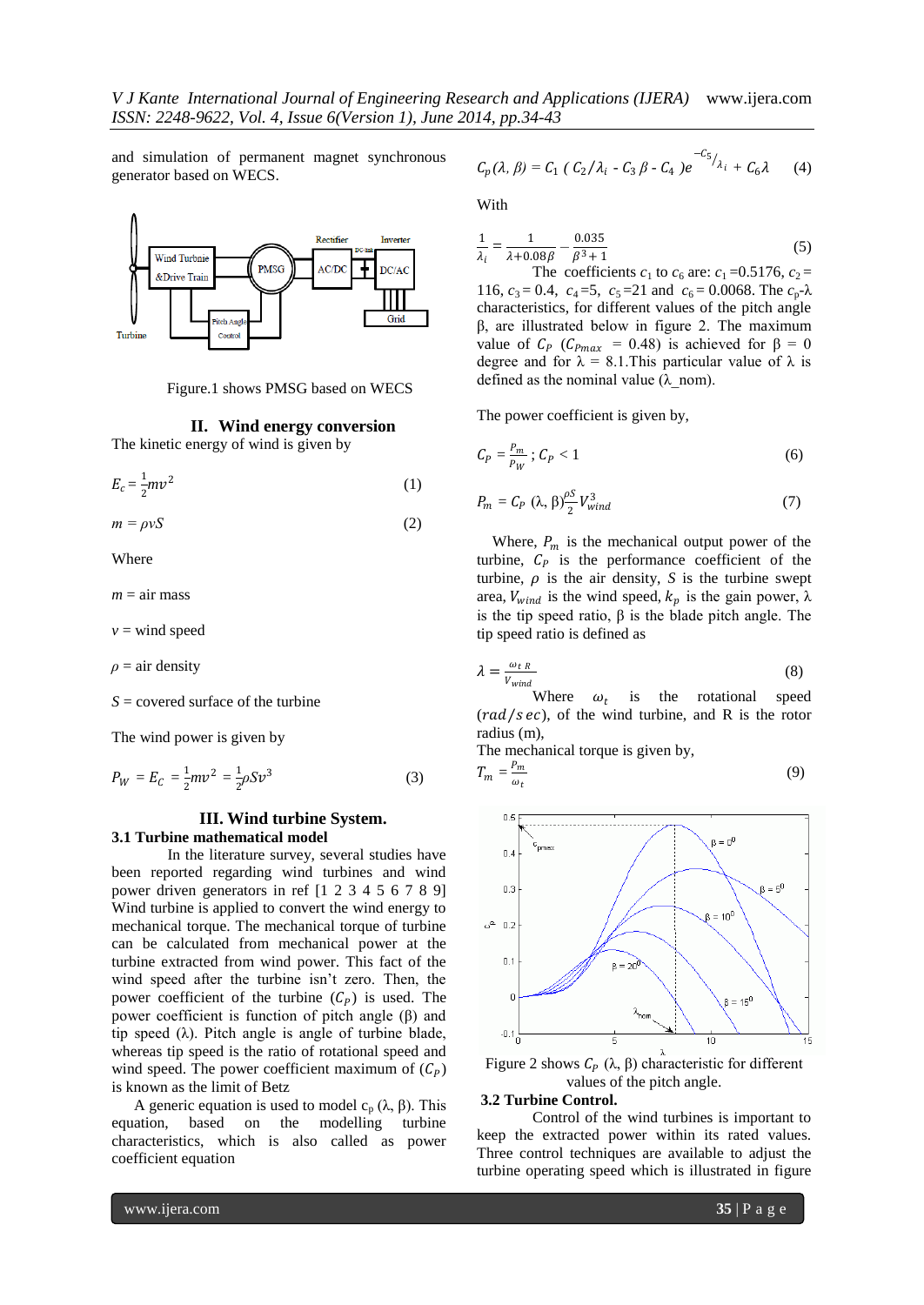and simulation of permanent magnet synchronous generator based on WECS.



Figure.1 shows PMSG based on WECS

**II. Wind energy conversion**

The kinetic energy of wind is given by

$$
E_c = \frac{1}{2}mv^2\tag{1}
$$

 $m = \rho v S$  (2)

Where

 $m = \text{air mass}$ 

 $v =$  wind speed

 $\rho = \text{air density}$ 

*S* = covered surface of the turbine

The wind power is given by

$$
P_W = E_C = \frac{1}{2}mv^2 = \frac{1}{2}\rho S v^3
$$
 (3)

## **III. Wind turbine System. 3.1 Turbine mathematical model**

In the literature survey, several studies have been reported regarding wind turbines and wind power driven generators in ref [1 2 3 4 5 6 7 8 9] Wind turbine is applied to convert the wind energy to mechanical torque. The mechanical torque of turbine can be calculated from mechanical power at the turbine extracted from wind power. This fact of the wind speed after the turbine isn't zero. Then, the power coefficient of the turbine  $(C_p)$  is used. The power coefficient is function of pitch angle  $(β)$  and tip speed  $(\lambda)$ . Pitch angle is angle of turbine blade, whereas tip speed is the ratio of rotational speed and wind speed. The power coefficient maximum of  $(C_p)$ is known as the limit of Betz

A generic equation is used to model  $c_p (\lambda, \beta)$ . This equation, based on the modelling turbine characteristics, which is also called as power coefficient equation

$$
C_p(\lambda, \beta) = C_1 (C_2/\lambda_i - C_3 \beta - C_4) e^{-C_5/\lambda_i} + C_6 \lambda
$$
 (4)

With

$$
\frac{1}{\lambda_i} = \frac{1}{\lambda + 0.08\beta} - \frac{0.035}{\beta^3 + 1}
$$
 (5)

The coefficients  $c_1$  to  $c_6$  are:  $c_1 = 0.5176$ ,  $c_2 =$ 116,  $c_3 = 0.4$ ,  $c_4 = 5$ ,  $c_5 = 21$  and  $c_6 = 0.0068$ . The  $c_p - \lambda$ characteristics, for different values of the pitch angle β, are illustrated below in figure 2. The maximum value of  $C_p$  ( $C_{Pmax} = 0.48$ ) is achieved for  $\beta = 0$ degree and for  $\lambda = 8.1$ . This particular value of  $\lambda$  is defined as the nominal value ( $\lambda$  nom).

The power coefficient is given by,

$$
C_P = \frac{P_m}{P_W}; C_P < 1 \tag{6}
$$

$$
P_m = C_P \left(\lambda, \beta\right) \frac{\rho S}{2} V_{wind}^3 \tag{7}
$$

Where,  $P_m$  is the mechanical output power of the turbine,  $C_p$  is the performance coefficient of the turbine,  $\rho$  is the air density, *S* is the turbine swept area,  $V_{wind}$  is the wind speed,  $k_p$  is the gain power,  $\lambda$ is the tip speed ratio, β is the blade pitch angle. The tip speed ratio is defined as

$$
\lambda = \frac{\omega_{tR}}{V_{wind}}\tag{8}
$$

Where  $\omega_t$ is the rotational speed  $\left(\frac{rad}{s}\right)$ , of the wind turbine, and R is the rotor radius (m),

The mechanical torque is given by,

$$
T_m = \frac{P_m}{\omega_t} \tag{9}
$$



Figure 2 shows  $C_p$  (λ, β) characteristic for different values of the pitch angle.

### **3.2 Turbine Control.**

Control of the wind turbines is important to keep the extracted power within its rated values. Three control techniques are available to adjust the turbine operating speed which is illustrated in figure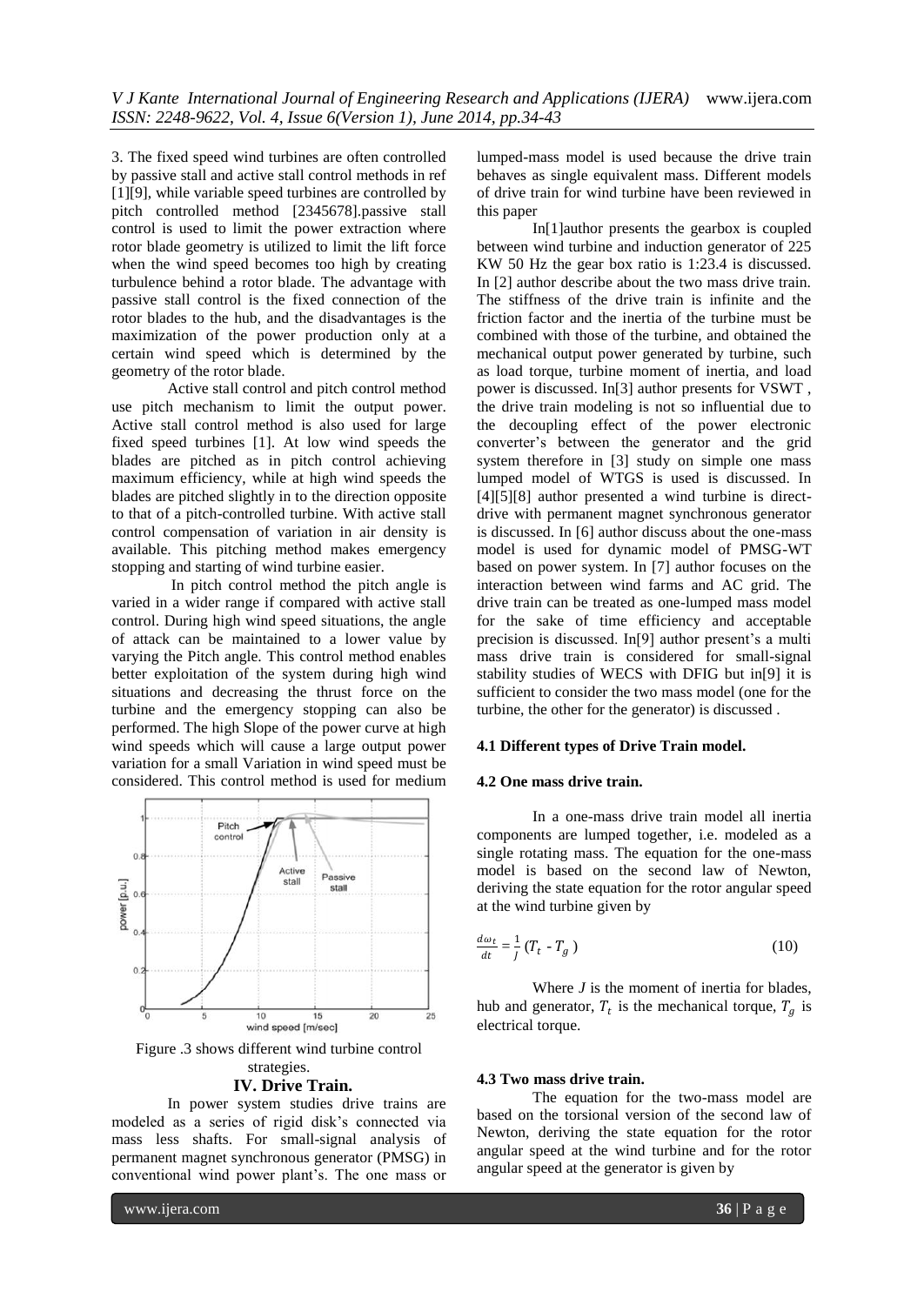3. The fixed speed wind turbines are often controlled by passive stall and active stall control methods in ref [1][9], while variable speed turbines are controlled by pitch controlled method [2345678].passive stall control is used to limit the power extraction where rotor blade geometry is utilized to limit the lift force when the wind speed becomes too high by creating turbulence behind a rotor blade. The advantage with passive stall control is the fixed connection of the rotor blades to the hub, and the disadvantages is the maximization of the power production only at a certain wind speed which is determined by the geometry of the rotor blade.

Active stall control and pitch control method use pitch mechanism to limit the output power. Active stall control method is also used for large fixed speed turbines [1]. At low wind speeds the blades are pitched as in pitch control achieving maximum efficiency, while at high wind speeds the blades are pitched slightly in to the direction opposite to that of a pitch-controlled turbine. With active stall control compensation of variation in air density is available. This pitching method makes emergency stopping and starting of wind turbine easier.

In pitch control method the pitch angle is varied in a wider range if compared with active stall control. During high wind speed situations, the angle of attack can be maintained to a lower value by varying the Pitch angle. This control method enables better exploitation of the system during high wind situations and decreasing the thrust force on the turbine and the emergency stopping can also be performed. The high Slope of the power curve at high wind speeds which will cause a large output power variation for a small Variation in wind speed must be considered. This control method is used for medium



Figure .3 shows different wind turbine control strategies. **IV. Drive Train.**

In power system studies drive trains are modeled as a series of rigid disk's connected via mass less shafts. For small-signal analysis of permanent magnet synchronous generator (PMSG) in conventional wind power plant's. The one mass or

lumped-mass model is used because the drive train behaves as single equivalent mass. Different models of drive train for wind turbine have been reviewed in this paper

In[1]author presents the gearbox is coupled between wind turbine and induction generator of 225 KW 50 Hz the gear box ratio is 1:23.4 is discussed. In [2] author describe about the two mass drive train. The stiffness of the drive train is infinite and the friction factor and the inertia of the turbine must be combined with those of the turbine, and obtained the mechanical output power generated by turbine, such as load torque, turbine moment of inertia, and load power is discussed. In[3] author presents for VSWT , the drive train modeling is not so influential due to the decoupling effect of the power electronic converter's between the generator and the grid system therefore in [3] study on simple one mass lumped model of WTGS is used is discussed. In [4][5][8] author presented a wind turbine is directdrive with permanent magnet synchronous generator is discussed. In [6] author discuss about the one-mass model is used for dynamic model of PMSG-WT based on power system. In [7] author focuses on the interaction between wind farms and AC grid. The drive train can be treated as one-lumped mass model for the sake of time efficiency and acceptable precision is discussed. In[9] author present's a multi mass drive train is considered for small-signal stability studies of WECS with DFIG but in[9] it is sufficient to consider the two mass model (one for the turbine, the other for the generator) is discussed .

## **4.1 Different types of Drive Train model.**

## **4.2 One mass drive train.**

In a one-mass drive train model all inertia components are lumped together, i.e. modeled as a single rotating mass. The equation for the one-mass model is based on the second law of Newton, deriving the state equation for the rotor angular speed at the wind turbine given by

$$
\frac{d\omega_t}{dt} = \frac{1}{J} \left( T_t - T_g \right) \tag{10}
$$

Where *J* is the moment of inertia for blades, hub and generator,  $T_t$  is the mechanical torque,  $T_g$  is electrical torque.

## **4.3 Two mass drive train.**

The equation for the two-mass model are based on the torsional version of the second law of Newton, deriving the state equation for the rotor angular speed at the wind turbine and for the rotor angular speed at the generator is given by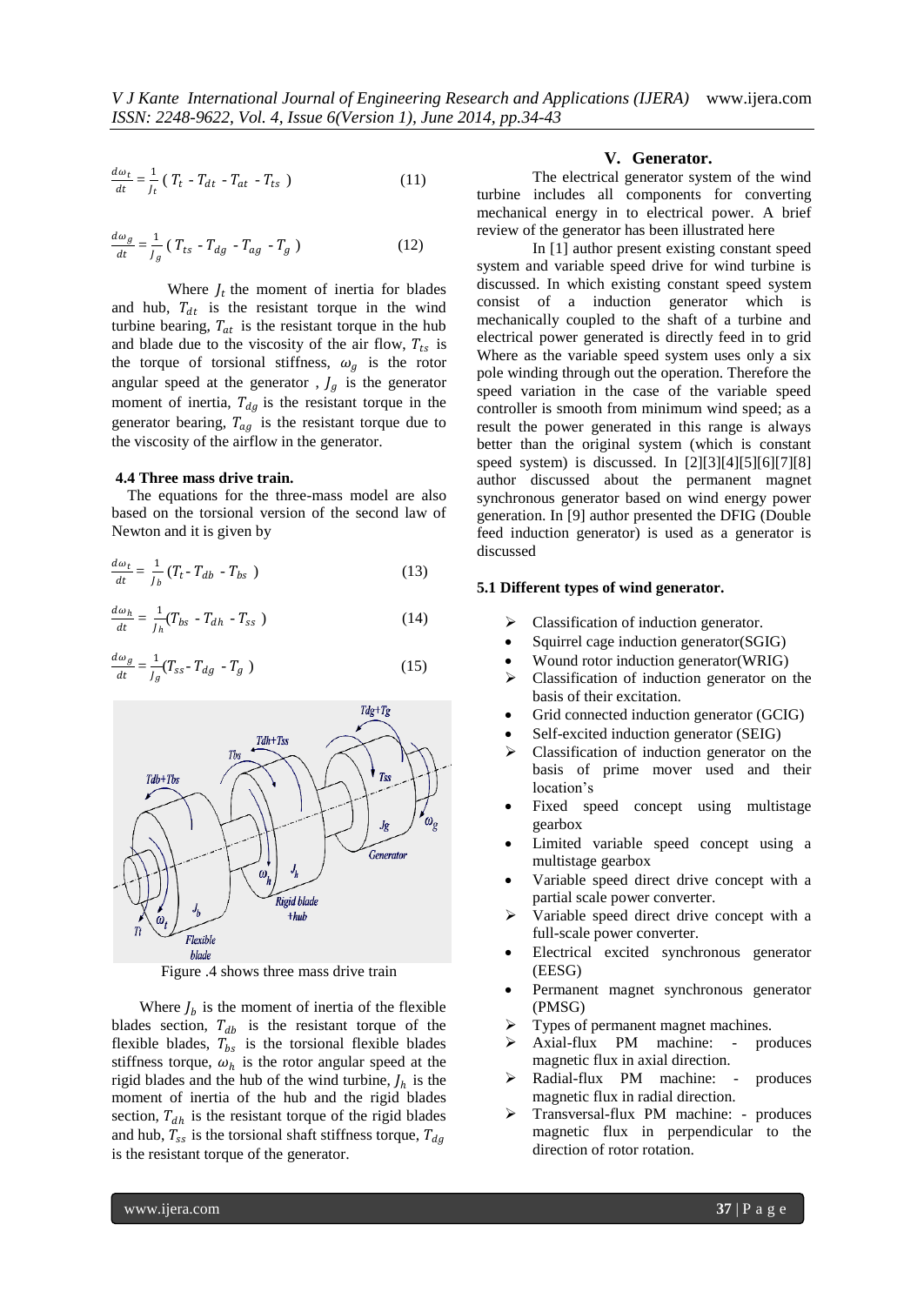$$
\frac{d\omega_t}{dt} = \frac{1}{J_t} \left( T_t - T_{dt} - T_{at} - T_{ts} \right) \tag{11}
$$

$$
\frac{d\omega_g}{dt} = \frac{1}{J_g} \left( T_{ts} - T_{dg} - T_{ag} - T_g \right) \tag{12}
$$

Where  $J_t$  the moment of inertia for blades and hub,  $T_{dt}$  is the resistant torque in the wind turbine bearing,  $T_{at}$  is the resistant torque in the hub and blade due to the viscosity of the air flow,  $T_{ts}$  is the torque of torsional stiffness,  $\omega_g$  is the rotor angular speed at the generator,  $J_q$  is the generator moment of inertia,  $T_{dq}$  is the resistant torque in the generator bearing,  $T_{ag}$  is the resistant torque due to the viscosity of the airflow in the generator.

#### **4.4 Three mass drive train.**

The equations for the three-mass model are also based on the torsional version of the second law of Newton and it is given by

$$
\frac{d\omega_t}{dt} = \frac{1}{J_b} (T_t - T_{db} - T_{bs})
$$
\n(13)

$$
\frac{d\omega_h}{dt} = \frac{1}{J_h} (T_{bs} - T_{dh} - T_{ss}) \tag{14}
$$

$$
\frac{d\omega_g}{dt} = \frac{1}{J_g} (T_{ss} - T_{dg} - T_g) \tag{15}
$$



Figure .4 shows three mass drive train

Where  $J_b$  is the moment of inertia of the flexible blades section,  $T_{db}$  is the resistant torque of the flexible blades,  $T_{bs}$  is the torsional flexible blades stiffness torque,  $\omega_h$  is the rotor angular speed at the rigid blades and the hub of the wind turbine,  $J_h$  is the moment of inertia of the hub and the rigid blades section,  $T_{dh}$  is the resistant torque of the rigid blades and hub,  $T_{ss}$  is the torsional shaft stiffness torque,  $T_{dg}$ is the resistant torque of the generator.

# **V. Generator.**

The electrical generator system of the wind turbine includes all components for converting mechanical energy in to electrical power. A brief review of the generator has been illustrated here

In [1] author present existing constant speed system and variable speed drive for wind turbine is discussed. In which existing constant speed system consist of a induction generator which is mechanically coupled to the shaft of a turbine and electrical power generated is directly feed in to grid Where as the variable speed system uses only a six pole winding through out the operation. Therefore the speed variation in the case of the variable speed controller is smooth from minimum wind speed; as a result the power generated in this range is always better than the original system (which is constant speed system) is discussed. In [2][3][4][5][6][7][8] author discussed about the permanent magnet synchronous generator based on wind energy power generation. In [9] author presented the DFIG (Double feed induction generator) is used as a generator is discussed

# **5.1 Different types of wind generator.**

- Classification of induction generator.
- Squirrel cage induction generator(SGIG)
- Wound rotor induction generator(WRIG)
- $\triangleright$  Classification of induction generator on the basis of their excitation.
- Grid connected induction generator (GCIG)
- Self-excited induction generator (SEIG)
- $\triangleright$  Classification of induction generator on the basis of prime mover used and their location's
- Fixed speed concept using multistage gearbox
- Limited variable speed concept using a multistage gearbox
- Variable speed direct drive concept with a partial scale power converter.
- Variable speed direct drive concept with a full-scale power converter.
- Electrical excited synchronous generator (EESG)
- Permanent magnet synchronous generator (PMSG)
- $\triangleright$  Types of permanent magnet machines.
- Axial-flux PM machine: produces magnetic flux in axial direction.
- Radial-flux PM machine: produces magnetic flux in radial direction.
- Transversal-flux PM machine: produces magnetic flux in perpendicular to the direction of rotor rotation.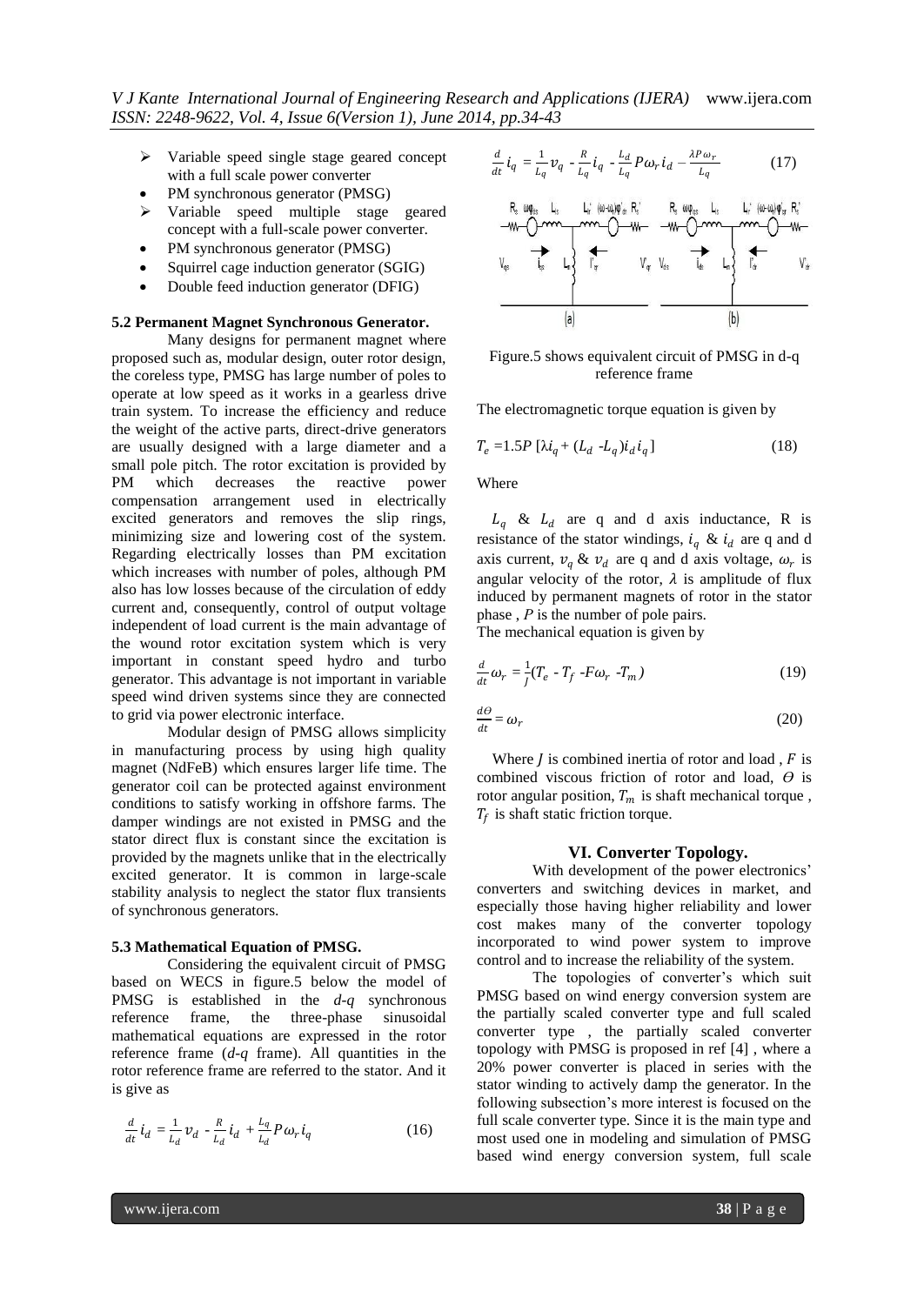- $\triangleright$  Variable speed single stage geared concept with a full scale power converter
- PM synchronous generator (PMSG)
- > Variable speed multiple stage geared concept with a full-scale power converter.
- PM synchronous generator (PMSG)
- Squirrel cage induction generator (SGIG)
- Double feed induction generator (DFIG)

# **5.2 Permanent Magnet Synchronous Generator.**

Many designs for permanent magnet where proposed such as, modular design, outer rotor design, the coreless type, PMSG has large number of poles to operate at low speed as it works in a gearless drive train system. To increase the efficiency and reduce the weight of the active parts, direct-drive generators are usually designed with a large diameter and a small pole pitch. The rotor excitation is provided by PM which decreases the reactive power compensation arrangement used in electrically excited generators and removes the slip rings, minimizing size and lowering cost of the system. Regarding electrically losses than PM excitation which increases with number of poles, although PM also has low losses because of the circulation of eddy current and, consequently, control of output voltage independent of load current is the main advantage of the wound rotor excitation system which is very important in constant speed hydro and turbo generator. This advantage is not important in variable speed wind driven systems since they are connected to grid via power electronic interface.

Modular design of PMSG allows simplicity in manufacturing process by using high quality magnet (NdFeB) which ensures larger life time. The generator coil can be protected against environment conditions to satisfy working in offshore farms. The damper windings are not existed in PMSG and the stator direct flux is constant since the excitation is provided by the magnets unlike that in the electrically excited generator. It is common in large-scale stability analysis to neglect the stator flux transients of synchronous generators.

#### **5.3 Mathematical Equation of PMSG.**

Considering the equivalent circuit of PMSG based on WECS in figure.5 below the model of PMSG is established in the *d-q* synchronous reference frame, the three-phase sinusoidal mathematical equations are expressed in the rotor reference frame (*d-q* frame). All quantities in the rotor reference frame are referred to the stator. And it is give as

$$
\frac{d}{dt}\dot{t}_d = \frac{1}{L_d}v_d - \frac{R}{L_d}\dot{t}_d + \frac{L_q}{L_d}P\omega_r\dot{t}_q
$$
\n(16)

$$
\frac{d}{dt}\dot{t}_q = \frac{1}{L_q}v_q - \frac{R}{L_q}\dot{t}_q - \frac{L_d}{L_q}P\omega_r\dot{t}_d - \frac{\lambda P\omega_r}{L_q} \tag{17}
$$



Figure.5 shows equivalent circuit of PMSG in d-q reference frame

The electromagnetic torque equation is given by

$$
T_e = 1.5P [\lambda i_q + (L_d - L_q)i_d i_q]
$$
 (18)

Where

 $L_a$  &  $L_d$  are q and d axis inductance, R is resistance of the stator windings,  $i_q \& i_d$  are q and d axis current,  $v_q \& v_d$  are q and d axis voltage,  $\omega_r$  is angular velocity of the rotor,  $\lambda$  is amplitude of flux induced by permanent magnets of rotor in the stator phase , *Р* is the number of pole pairs.

The mechanical equation is given by

$$
\frac{d}{dt}\omega_r = \frac{1}{J}(T_e - T_f - F\omega_r - T_m)
$$
\n(19)

$$
\frac{d\theta}{dt} = \omega_r \tag{20}
$$

Where  *is combined inertia of rotor and load ,*  $*F*$  *is* combined viscous friction of rotor and load, *Ө* is rotor angular position,  $T_m$  is shaft mechanical torque,  $T_f$  is shaft static friction torque.

#### **VI. Converter Topology.**

With development of the power electronics' converters and switching devices in market, and especially those having higher reliability and lower cost makes many of the converter topology incorporated to wind power system to improve control and to increase the reliability of the system.

The topologies of converter's which suit PMSG based on wind energy conversion system are the partially scaled converter type and full scaled converter type , the partially scaled converter topology with PMSG is proposed in ref [4] , where a 20% power converter is placed in series with the stator winding to actively damp the generator. In the following subsection's more interest is focused on the full scale converter type. Since it is the main type and most used one in modeling and simulation of PMSG based wind energy conversion system, full scale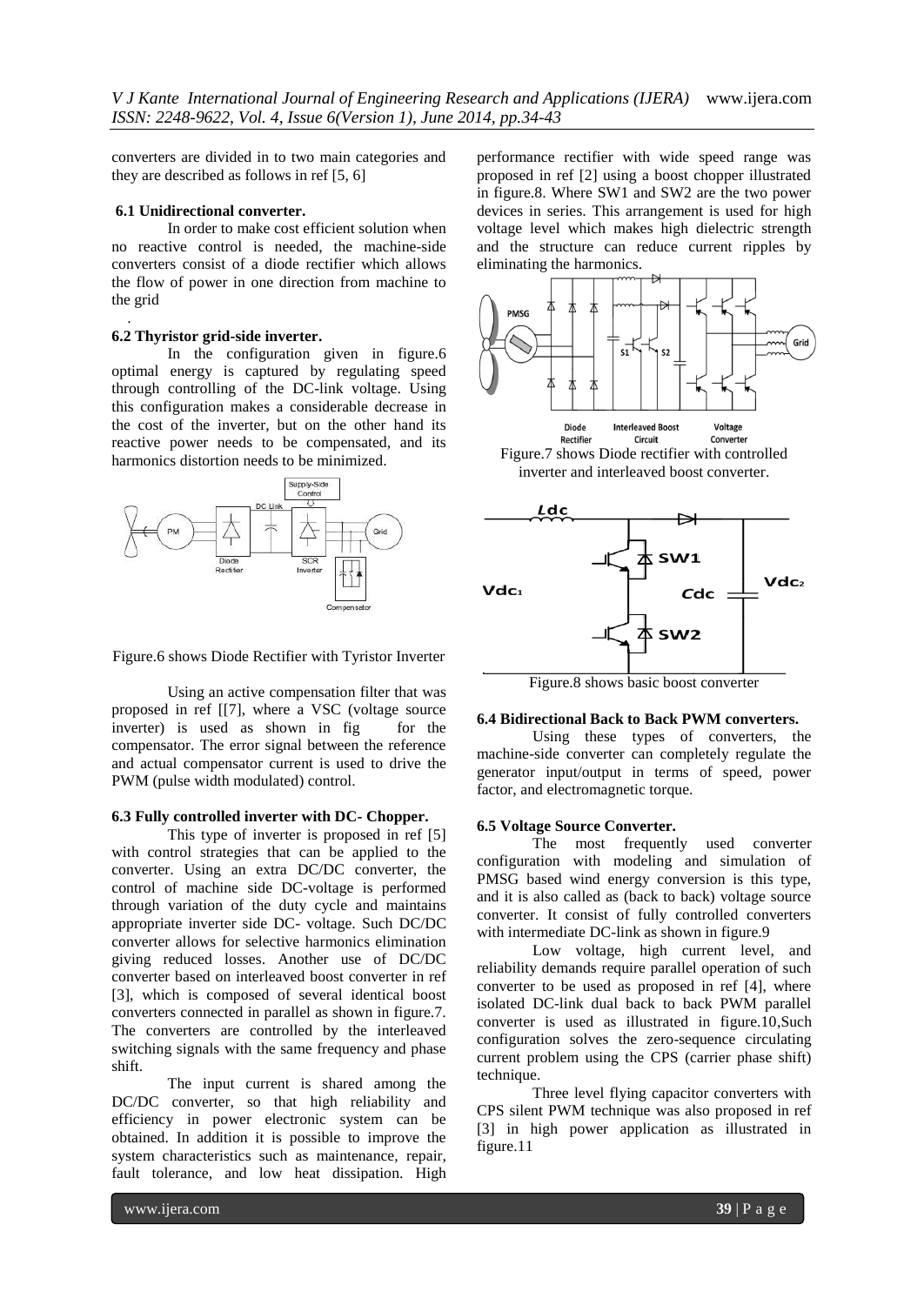converters are divided in to two main categories and they are described as follows in ref [5, 6]

# **6.1 Unidirectional converter.**

In order to make cost efficient solution when no reactive control is needed, the machine-side converters consist of a diode rectifier which allows the flow of power in one direction from machine to the grid

# **6.2 Thyristor grid-side inverter.**

.

In the configuration given in figure.6 optimal energy is captured by regulating speed through controlling of the DC-link voltage. Using this configuration makes a considerable decrease in the cost of the inverter, but on the other hand its reactive power needs to be compensated, and its harmonics distortion needs to be minimized.



Figure.6 shows Diode Rectifier with Tyristor Inverter

Using an active compensation filter that was proposed in ref [[7], where a VSC (voltage source inverter) is used as shown in fig for the compensator. The error signal between the reference and actual compensator current is used to drive the PWM (pulse width modulated) control.

# **6.3 Fully controlled inverter with DC- Chopper.**

This type of inverter is proposed in ref [5] with control strategies that can be applied to the converter. Using an extra DC/DC converter, the control of machine side DC-voltage is performed through variation of the duty cycle and maintains appropriate inverter side DC- voltage. Such DC/DC converter allows for selective harmonics elimination giving reduced losses. Another use of DC/DC converter based on interleaved boost converter in ref [3], which is composed of several identical boost converters connected in parallel as shown in figure.7. The converters are controlled by the interleaved switching signals with the same frequency and phase shift.

The input current is shared among the DC/DC converter, so that high reliability and efficiency in power electronic system can be obtained. In addition it is possible to improve the system characteristics such as maintenance, repair, fault tolerance, and low heat dissipation. High

performance rectifier with wide speed range was proposed in ref [2] using a boost chopper illustrated in figure.8. Where SW1 and SW2 are the two power devices in series. This arrangement is used for high voltage level which makes high dielectric strength and the structure can reduce current ripples by eliminating the harmonics.



Figure.7 shows Diode rectifier with controlled inverter and interleaved boost converter.



Figure.8 shows basic boost converter

# **6.4 Bidirectional Back to Back PWM converters.**

Using these types of converters, the machine-side converter can completely regulate the generator input/output in terms of speed, power factor, and electromagnetic torque.

# **6.5 Voltage Source Converter.**

The most frequently used converter configuration with modeling and simulation of PMSG based wind energy conversion is this type, and it is also called as (back to back) voltage source converter. It consist of fully controlled converters with intermediate DC-link as shown in figure.9

Low voltage, high current level, and reliability demands require parallel operation of such converter to be used as proposed in ref [4], where isolated DC-link dual back to back PWM parallel converter is used as illustrated in figure.10,Such configuration solves the zero-sequence circulating current problem using the CPS (carrier phase shift) technique.

Three level flying capacitor converters with CPS silent PWM technique was also proposed in ref [3] in high power application as illustrated in figure.11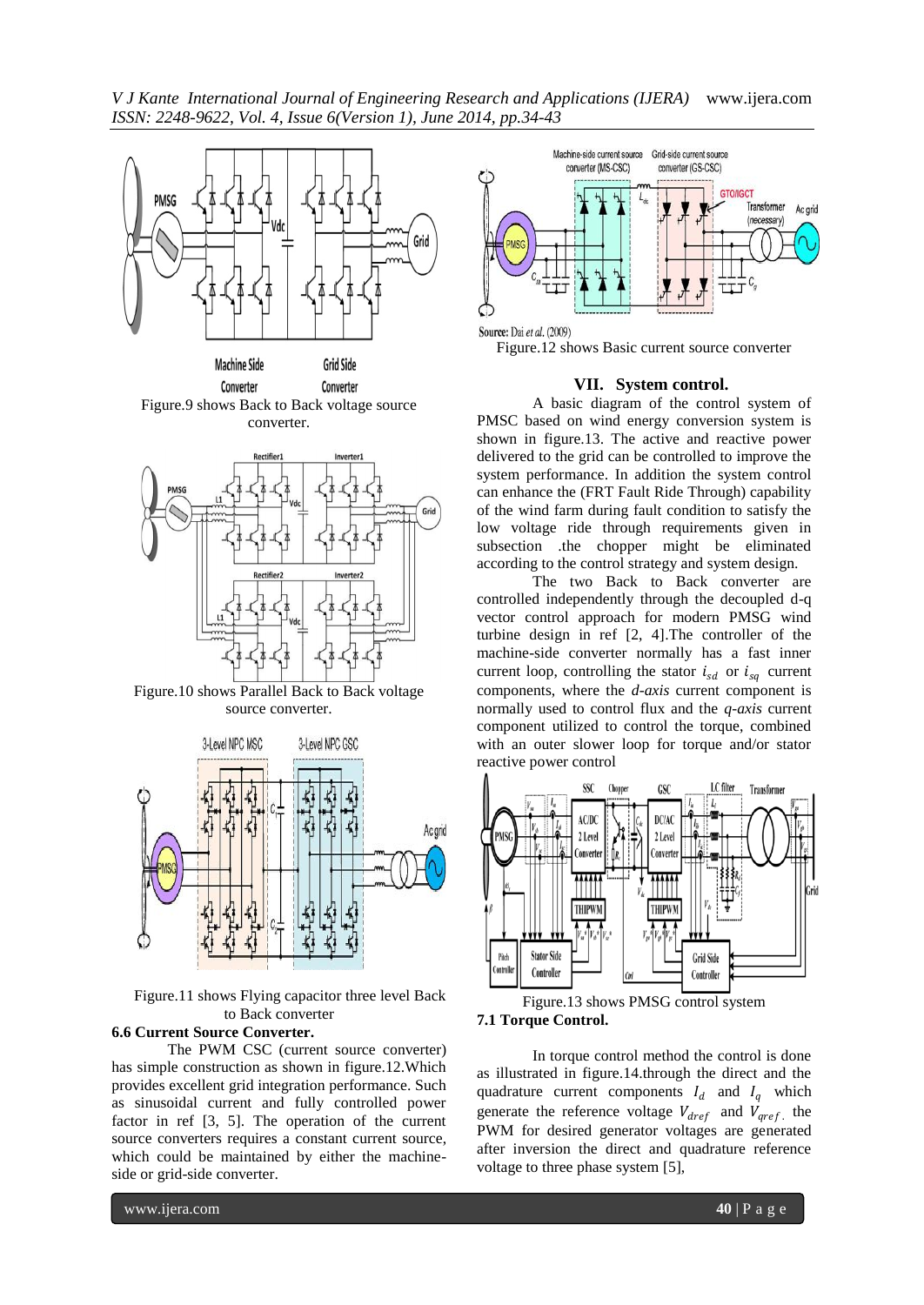*V J Kante International Journal of Engineering Research and Applications (IJERA)* www.ijera.com *ISSN: 2248-9622, Vol. 4, Issue 6(Version 1), June 2014, pp.34-43*



Figure.9 shows Back to Back voltage source converter.



Figure.10 shows Parallel Back to Back voltage source converter.



Figure.11 shows Flying capacitor three level Back to Back converter

# **6.6 Current Source Converter.**

The PWM CSC (current source converter) has simple construction as shown in figure.12.Which provides excellent grid integration performance. Such as sinusoidal current and fully controlled power factor in ref [3, 5]. The operation of the current source converters requires a constant current source, which could be maintained by either the machineside or grid-side converter.



Figure.12 shows Basic current source converter

#### **VII. System control.**

A basic diagram of the control system of PMSC based on wind energy conversion system is shown in figure.13. The active and reactive power delivered to the grid can be controlled to improve the system performance. In addition the system control can enhance the (FRT Fault Ride Through) capability of the wind farm during fault condition to satisfy the low voltage ride through requirements given in subsection .the chopper might be eliminated according to the control strategy and system design.

The two Back to Back converter are controlled independently through the decoupled d-q vector control approach for modern PMSG wind turbine design in ref [2, 4].The controller of the machine-side converter normally has a fast inner current loop, controlling the stator  $i_{sd}$  or  $i_{sa}$  current components, where the *d-axis* current component is normally used to control flux and the *q-axis* current component utilized to control the torque, combined with an outer slower loop for torque and/or stator reactive power control



Figure.13 shows PMSG control system **7.1 Torque Control.**

In torque control method the control is done as illustrated in figure.14.through the direct and the quadrature current components  $I_d$  and  $I_q$  which generate the reference voltage  $V_{dref}$  and  $V_{qref}$ , the PWM for desired generator voltages are generated after inversion the direct and quadrature reference voltage to three phase system [5],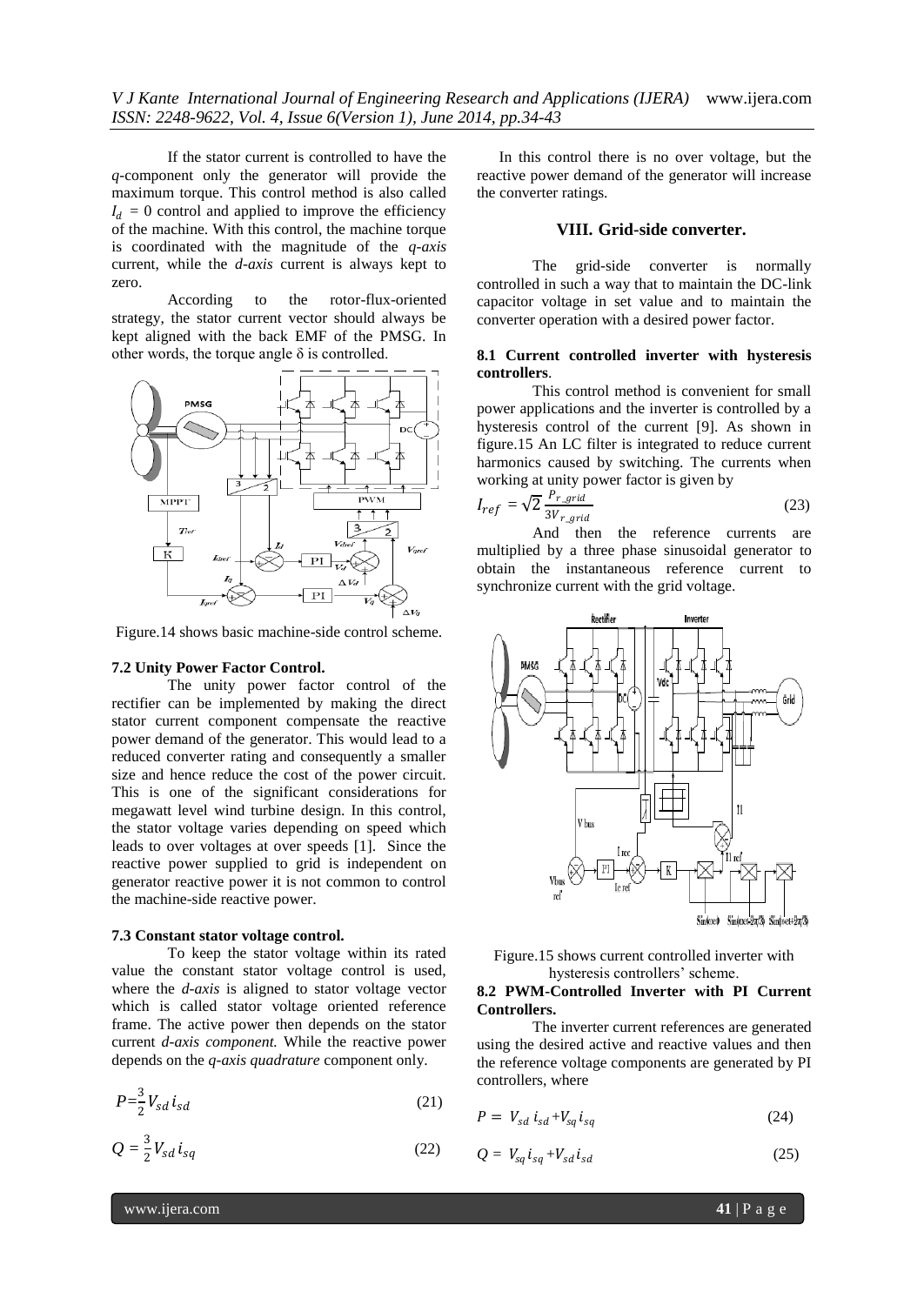*V J Kante International Journal of Engineering Research and Applications (IJERA)* www.ijera.com *ISSN: 2248-9622, Vol. 4, Issue 6(Version 1), June 2014, pp.34-43*

If the stator current is controlled to have the *q-*component only the generator will provide the maximum torque. This control method is also called  $I_d = 0$  control and applied to improve the efficiency of the machine. With this control, the machine torque is coordinated with the magnitude of the *q-axis*  current, while the *d-axis* current is always kept to zero.

According to the rotor-flux-oriented strategy, the stator current vector should always be kept aligned with the back EMF of the PMSG. In other words, the torque angle  $\delta$  is controlled.



Figure.14 shows basic machine-side control scheme.

## **7.2 Unity Power Factor Control.**

The unity power factor control of the rectifier can be implemented by making the direct stator current component compensate the reactive power demand of the generator. This would lead to a reduced converter rating and consequently a smaller size and hence reduce the cost of the power circuit. This is one of the significant considerations for megawatt level wind turbine design. In this control, the stator voltage varies depending on speed which leads to over voltages at over speeds [1]. Since the reactive power supplied to grid is independent on generator reactive power it is not common to control the machine-side reactive power.

#### **7.3 Constant stator voltage control.**

To keep the stator voltage within its rated value the constant stator voltage control is used, where the *d-axis* is aligned to stator voltage vector which is called stator voltage oriented reference frame. The active power then depends on the stator current *d-axis component.* While the reactive power depends on the *q-axis quadrature* component only.

$$
P = \frac{3}{2} V_{sd} i_{sd} \tag{21}
$$

$$
Q = \frac{3}{2} V_{sd} i_{sq} \tag{22}
$$

In this control there is no over voltage, but the reactive power demand of the generator will increase the converter ratings.

# **VIII. Grid-side converter.**

The grid-side converter is normally controlled in such a way that to maintain the DC-link capacitor voltage in set value and to maintain the converter operation with a desired power factor.

### **8.1 Current controlled inverter with hysteresis controllers**.

This control method is convenient for small power applications and the inverter is controlled by a hysteresis control of the current [9]. As shown in figure.15 An LC filter is integrated to reduce current harmonics caused by switching. The currents when working at unity power factor is given by

$$
I_{ref} = \sqrt{2} \frac{P_{r\_grid}}{3V_{r\_grid}} \tag{23}
$$

And then the reference currents are multiplied by a three phase sinusoidal generator to obtain the instantaneous reference current to synchronize current with the grid voltage.



Figure.15 shows current controlled inverter with hysteresis controllers' scheme.

## **8.2 PWM-Controlled Inverter with PI Current Controllers.**

The inverter current references are generated using the desired active and reactive values and then the reference voltage components are generated by PI controllers, where

$$
P = V_{sd} i_{sd} + V_{sq} i_{sq} \tag{24}
$$

$$
Q = V_{sq} i_{sq} + V_{sd} i_{sd} \tag{25}
$$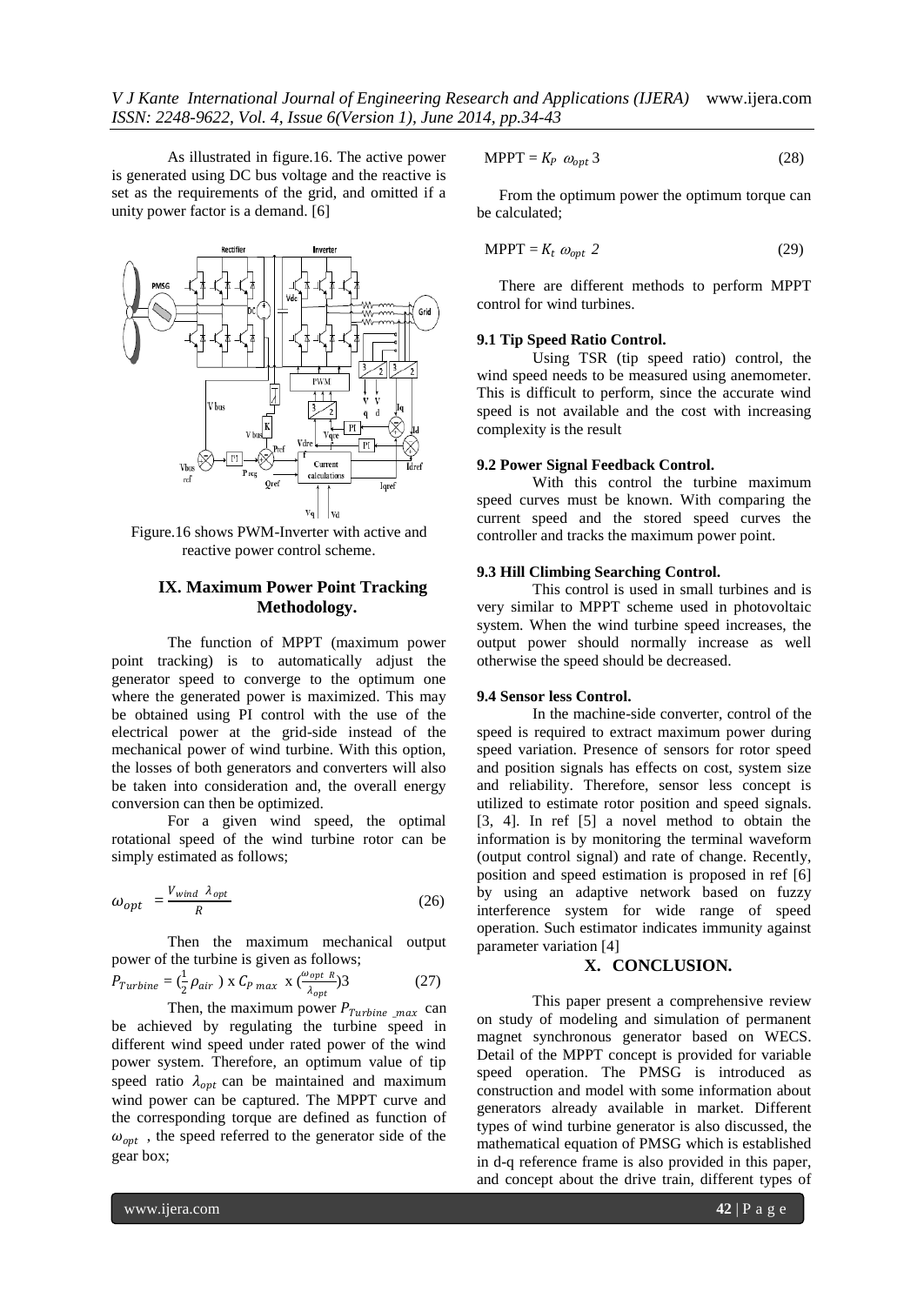As illustrated in figure.16. The active power is generated using DC bus voltage and the reactive is set as the requirements of the grid, and omitted if a unity power factor is a demand. [6]



Figure.16 shows PWM-Inverter with active and reactive power control scheme.

# **IX. Maximum Power Point Tracking Methodology.**

The function of MPPT (maximum power point tracking) is to automatically adjust the generator speed to converge to the optimum one where the generated power is maximized. This may be obtained using PI control with the use of the electrical power at the grid-side instead of the mechanical power of wind turbine. With this option, the losses of both generators and converters will also be taken into consideration and, the overall energy conversion can then be optimized.

For a given wind speed, the optimal rotational speed of the wind turbine rotor can be simply estimated as follows;

$$
\omega_{opt} = \frac{V_{wind} \ \lambda_{opt}}{R} \tag{26}
$$

Then the maximum mechanical output power of the turbine is given as follows;

$$
P_{Turbine} = \left(\frac{1}{2}\rho_{air}\right) \times C_{P \ max} \times \left(\frac{\omega_{opt} R}{\lambda_{opt}}\right)^3 \tag{27}
$$

Then, the maximum power  $P_{Turbine\_max}$  can be achieved by regulating the turbine speed in different wind speed under rated power of the wind power system. Therefore, an optimum value of tip speed ratio  $\lambda_{opt}$  can be maintained and maximum wind power can be captured. The MPPT curve and the corresponding torque are defined as function of  $\omega_{opt}$ , the speed referred to the generator side of the gear box;

$$
MPPT = K_P \omega_{opt} 3 \tag{28}
$$

From the optimum power the optimum torque can be calculated;

$$
MPPT = K_t \omega_{opt} 2 \tag{29}
$$

There are different methods to perform MPPT control for wind turbines.

# **9.1 Tip Speed Ratio Control.**

Using TSR (tip speed ratio) control, the wind speed needs to be measured using anemometer. This is difficult to perform, since the accurate wind speed is not available and the cost with increasing complexity is the result

# **9.2 Power Signal Feedback Control.**

With this control the turbine maximum speed curves must be known. With comparing the current speed and the stored speed curves the controller and tracks the maximum power point.

# **9.3 Hill Climbing Searching Control.**

This control is used in small turbines and is very similar to MPPT scheme used in photovoltaic system. When the wind turbine speed increases, the output power should normally increase as well otherwise the speed should be decreased.

# **9.4 Sensor less Control.**

In the machine-side converter, control of the speed is required to extract maximum power during speed variation. Presence of sensors for rotor speed and position signals has effects on cost, system size and reliability. Therefore, sensor less concept is utilized to estimate rotor position and speed signals. [3, 4]. In ref [5] a novel method to obtain the information is by monitoring the terminal waveform (output control signal) and rate of change. Recently, position and speed estimation is proposed in ref [6] by using an adaptive network based on fuzzy interference system for wide range of speed operation. Such estimator indicates immunity against parameter variation [4]

# **X. CONCLUSION.**

This paper present a comprehensive review on study of modeling and simulation of permanent magnet synchronous generator based on WECS. Detail of the MPPT concept is provided for variable speed operation. The PMSG is introduced as construction and model with some information about generators already available in market. Different types of wind turbine generator is also discussed, the mathematical equation of PMSG which is established in d-q reference frame is also provided in this paper, and concept about the drive train, different types of